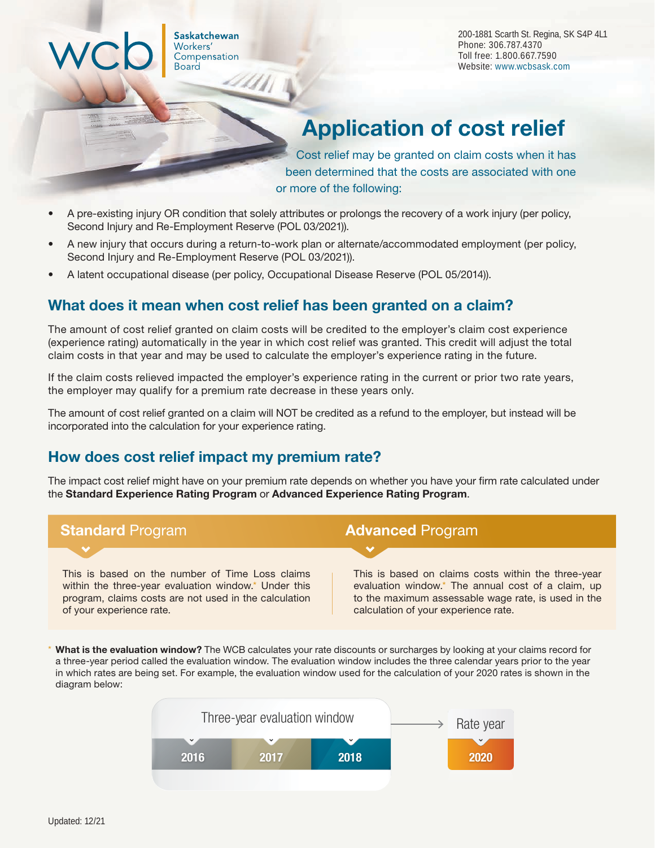Saskatchewan Workers' Compensation **Board** 

200-1881 Scarth St. Regina, SK S4P 4L1 Phone: 306.787.4370 Toll free: 1.800.667.7590 Website: [www.wcbsask.com](http://www.wcbsask.com)

# Application of cost relief

 Cost relief may be granted on claim costs when it has been determined that the costs are associated with one or more of the following:

- A pre-existing injury OR condition that solely attributes or prolongs the recovery of a work injury (per policy, Second Injury and Re-Employment Reserve (POL 03/2021)).
- A new injury that occurs during a return-to-work plan or alternate/accommodated employment (per policy, Second Injury and Re-Employment Reserve (POL 03/2021)).
- A latent occupational disease (per policy, Occupational Disease Reserve (POL 05/2014)).

# What does it mean when cost relief has been granted on a claim?

The amount of cost relief granted on claim costs will be credited to the employer's claim cost experience (experience rating) automatically in the year in which cost relief was granted. This credit will adjust the total claim costs in that year and may be used to calculate the employer's experience rating in the future.

If the claim costs relieved impacted the employer's experience rating in the current or prior two rate years, the employer may qualify for a premium rate decrease in these years only.

The amount of cost relief granted on a claim will NOT be credited as a refund to the employer, but instead will be incorporated into the calculation for your experience rating.

# How does cost relief impact my premium rate?

The impact cost relief might have on your premium rate depends on whether you have your firm rate calculated under the Standard Experience Rating Program or Advanced Experience Rating Program.



What is the evaluation window? The WCB calculates your rate discounts or surcharges by looking at your claims record for a three-year period called the evaluation window. The evaluation window includes the three calendar years prior to the year in which rates are being set. For example, the evaluation window used for the calculation of your 2020 rates is shown in the diagram below: